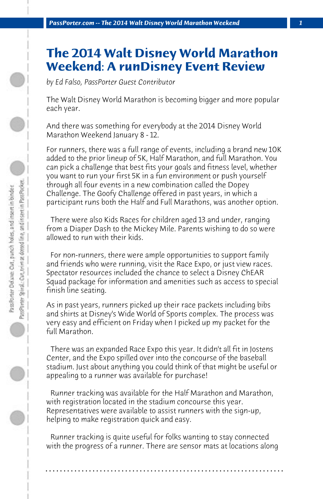## **The 2014 Walt Disney World Marathon Weekend: A runDisney Event Review**

*by Ed Falso, PassPorter Guest Contributor*

The Walt Disney World Marathon is becoming bigger and more popular each year.

And there was something for everybody at the 2014 Disney World Marathon Weekend January 8 - 12.

For runners, there was a full range of events, including a brand new 10K added to the prior lineup of 5K, Half Marathon, and full Marathon. You can pick a challenge that best fits your goals and fitness level, whether you want to run your first 5K in a fun environment or push yourself through all four events in a new combination called the Dopey Challenge. The Goofy Challenge offered in past years, in which a participant runs both the Half and Full Marathons, was another option.

 There were also Kids Races for children aged 13 and under, ranging from a Diaper Dash to the Mickey Mile. Parents wishing to do so were allowed to run with their kids.

 For non-runners, there were ample opportunities to support family and friends who were running, visit the Race Expo, or just view races. Spectator resources included the chance to select a Disney ChEAR Squad package for information and amenities such as access to special finish line seating.

As in past years, runners picked up their race packets including bibs and shirts at Disney's Wide World of Sports complex. The process was very easy and efficient on Friday when I picked up my packet for the full Marathon.

 There was an expanded Race Expo this year. It didn't all fit in Jostens Center, and the Expo spilled over into the concourse of the baseball stadium. Just about anything you could think of that might be useful or appealing to a runner was available for purchase!

 Runner tracking was available for the Half Marathon and Marathon, with registration located in the stadium concourse this year. Representatives were available to assist runners with the sign-up, helping to make registration quick and easy.

 Runner tracking is quite useful for folks wanting to stay connected with the progress of a runner. There are sensor mats at locations along

**. . . . . . . . . . . . . . . . . . . . . . . . . . . . . . . . . . . . . . . . . . . . . . . . . . . . . . . . . . . . . . . . . .**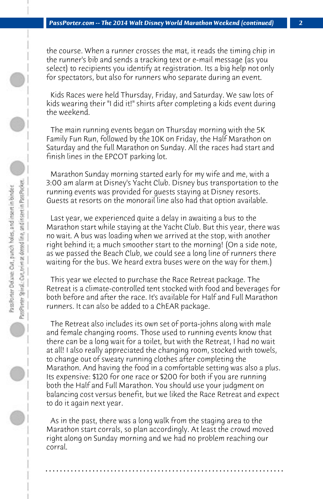the course. When a runner crosses the mat, it reads the timing chip in the runner's bib and sends a tracking text or e-mail message (as you select) to recipients you identify at registration. Its a big help not only for spectators, but also for runners who separate during an event.

 Kids Races were held Thursday, Friday, and Saturday. We saw lots of kids wearing their "I did it!" shirts after completing a kids event during the weekend.

 The main running events began on Thursday morning with the 5K Family Fun Run, followed by the 10K on Friday, the Half Marathon on Saturday and the full Marathon on Sunday. All the races had start and finish lines in the EPCOT parking lot.

 Marathon Sunday morning started early for my wife and me, with a 3:00 am alarm at Disney's Yacht Club. Disney bus transportation to the running events was provided for guests staying at Disney resorts. Guests at resorts on the monorail line also had that option available.

 Last year, we experienced quite a delay in awaiting a bus to the Marathon start while staying at the Yacht Club. But this year, there was no wait. A bus was loading when we arrived at the stop, with another right behind it; a much smoother start to the morning! (On a side note, as we passed the Beach Club, we could see a long line of runners there waiting for the bus. We heard extra buses were on the way for them.)

 This year we elected to purchase the Race Retreat package. The Retreat is a climate-controlled tent stocked with food and beverages for both before and after the race. It's available for Half and Full Marathon runners. It can also be added to a ChEAR package.

 The Retreat also includes its own set of porta-johns along with male and female changing rooms. Those used to running events know that there can be a long wait for a toilet, but with the Retreat, I had no wait at all! I also really appreciated the changing room, stocked with towels, to change out of sweaty running clothes after completing the Marathon. And having the food in a comfortable setting was also a plus. Its expensive: \$120 for one race or \$200 for both if you are running both the Half and Full Marathon. You should use your judgment on balancing cost versus benefit, but we liked the Race Retreat and expect to do it again next year.

 As in the past, there was a long walk from the staging area to the Marathon start corrals, so plan accordingly. At least the crowd moved right along on Sunday morning and we had no problem reaching our corral.

**. . . . . . . . . . . . . . . . . . . . . . . . . . . . . . . . . . . . . . . . . . . . . . . . . . . . . . . . . . . . . . . . . .**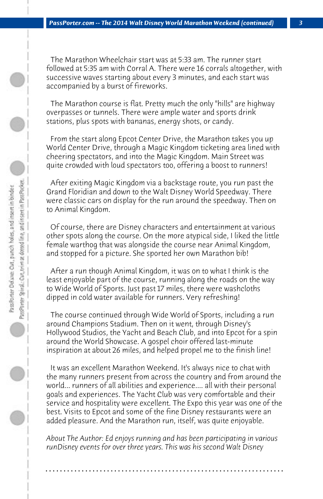The Marathon Wheelchair start was at 5:33 am. The runner start followed at 5:35 am with Corral A. There were 16 corrals altogether, with successive waves starting about every 3 minutes, and each start was accompanied by a burst of fireworks.

 The Marathon course is flat. Pretty much the only "hills" are highway overpasses or tunnels. There were ample water and sports drink stations, plus spots with bananas, energy shots, or candy.

 From the start along Epcot Center Drive, the Marathon takes you up World Center Drive, through a Magic Kingdom ticketing area lined with cheering spectators, and into the Magic Kingdom. Main Street was quite crowded with loud spectators too, offering a boost to runners!

 After exiting Magic Kingdom via a backstage route, you run past the Grand Floridian and down to the Walt Disney World Speedway. There were classic cars on display for the run around the speedway. Then on to Animal Kingdom.

 Of course, there are Disney characters and entertainment at various other spots along the course. On the more atypical side, I liked the little female warthog that was alongside the course near Animal Kingdom, and stopped for a picture. She sported her own Marathon bib!

 After a run though Animal Kingdom, it was on to what I think is the least enjoyable part of the course, running along the roads on the way to Wide World of Sports. Just past 17 miles, there were washcloths dipped in cold water available for runners. Very refreshing!

 The course continued through Wide World of Sports, including a run around Champions Stadium. Then on it went, through Disney's Hollywood Studios, the Yacht and Beach Club, and into Epcot for a spin around the World Showcase. A gospel choir offered last-minute inspiration at about 26 miles, and helped propel me to the finish line!

 It was an excellent Marathon Weekend. It's always nice to chat with the many runners present from across the country and from around the world... runners of all abilities and experience.... all with their personal goals and experiences. The Yacht Club was very comfortable and their service and hospitality were excellent. The Expo this year was one of the best. Visits to Epcot and some of the fine Disney restaurants were an added pleasure. And the Marathon run, itself, was quite enjoyable.

*About The Author: Ed enjoys running and has been participating in various runDisney events for over three years. This was his second Walt Disney*

**. . . . . . . . . . . . . . . . . . . . . . . . . . . . . . . . . . . . . . . . . . . . . . . . . . . . . . . . . . . . . . . . . .**